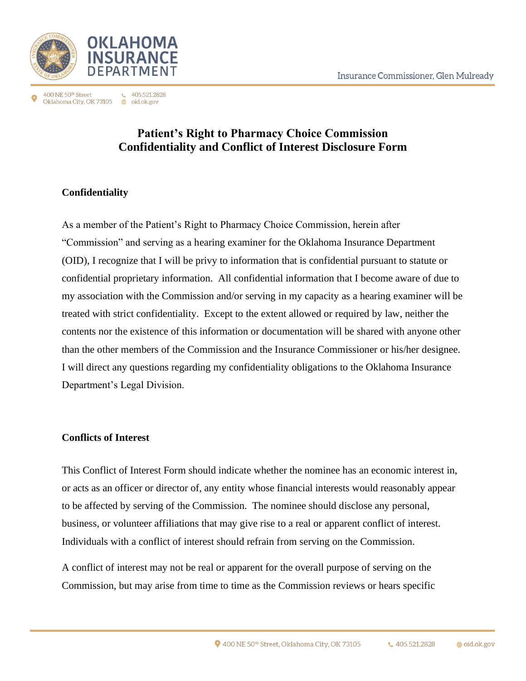

 $\leftarrow$  405.521.2828 400 NE 50<sup>th</sup> Street Oklahoma City, OK 73105 ⊕ oid.ok.gov

## **Patient's Right to Pharmacy Choice Commission Confidentiality and Conflict of Interest Disclosure Form**

## **Confidentiality**

As a member of the Patient's Right to Pharmacy Choice Commission, herein after "Commission" and serving as a hearing examiner for the Oklahoma Insurance Department (OID), I recognize that I will be privy to information that is confidential pursuant to statute or confidential proprietary information. All confidential information that I become aware of due to my association with the Commission and/or serving in my capacity as a hearing examiner will be treated with strict confidentiality. Except to the extent allowed or required by law, neither the contents nor the existence of this information or documentation will be shared with anyone other than the other members of the Commission and the Insurance Commissioner or his/her designee. I will direct any questions regarding my confidentiality obligations to the Oklahoma Insurance Department's Legal Division.

## **Conflicts of Interest**

This Conflict of Interest Form should indicate whether the nominee has an economic interest in, or acts as an officer or director of, any entity whose financial interests would reasonably appear to be affected by serving of the Commission. The nominee should disclose any personal, business, or volunteer affiliations that may give rise to a real or apparent conflict of interest. Individuals with a conflict of interest should refrain from serving on the Commission.

A conflict of interest may not be real or apparent for the overall purpose of serving on the Commission, but may arise from time to time as the Commission reviews or hears specific